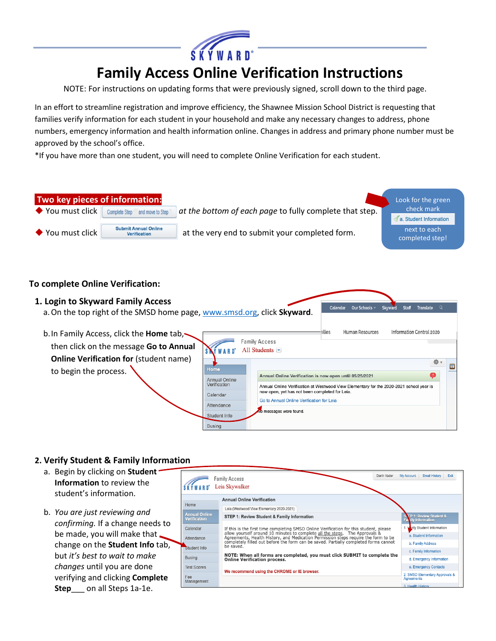

# **Family Access Online Verification Instructions**

NOTE: For instructions on updating forms that were previously signed, scroll down to the third page.

In an effort to streamline registration and improve efficiency, the Shawnee Mission School District is requesting that families verify information for each student in your household and make any necessary changes to address, phone numbers, emergency information and health information online. Changes in address and primary phone number must be approved by the school's office.

\*If you have more than one student, you will need to complete Online Verification for each student.



#### **To complete Online Verification:**



#### **2. Verify Student & Family Information**

- a. Begin by clicking on **Student Information** to review the student's information.
- b. *You are just reviewing and confirming.* If a change needs to be made, you will make that change on the **Student Info** tab, but *it's best to wait to make changes* until you are done verifying and clicking **Complete Step**\_\_\_ on all Steps 1a-1e.

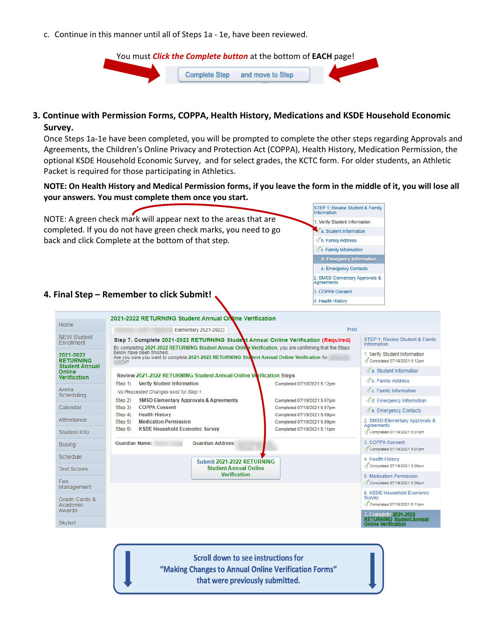c. Continue in this manner until all of Steps 1a - 1e, have been reviewed.



### **3. Continue with Permission Forms, COPPA, Health History, Medications and KSDE Household Economic Survey.**

Once Steps 1a-1e have been completed, you will be prompted to complete the other steps regarding Approvals and Agreements, the Children's Online Privacy and Protection Act (COPPA), Health History, Medication Permission, the optional KSDE Household Economic Survey, and for select grades, the KCTC form. For older students, an Athletic Packet is required for those participating in Athletics.

**NOTE: On Health History and Medical Permission forms, if you leave the form in the middle of it, you will lose all your answers. You must complete them once you start.**



**Scroll down to see instructions for** "Making Changes to Annual Online Verification Forms" that were previously submitted.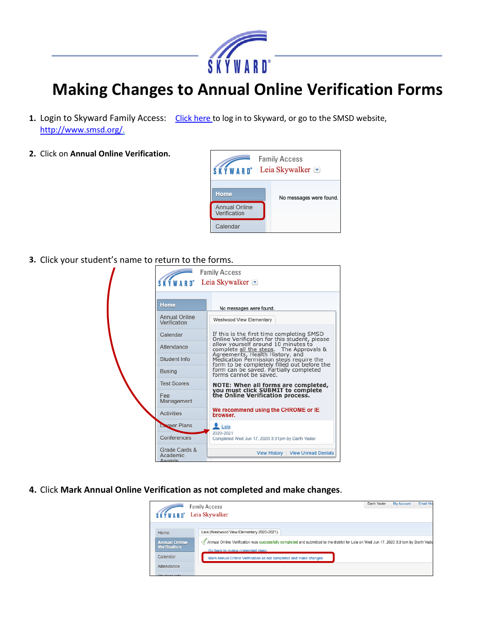

## **Making Changes to Annual Online Verification Forms**

- **1.** Login to Skyward Family Access:[Click here](https://skyward.smsd.org/scripts/wsisa.dll/WService%3DwsEAplus/seplog01.w) to log in to Skyward, or go to the SMSD website, [http://www.smsd.org/.](http://www.smsd.org/)
- **2.** Click on **Annual Online Verification.**



**3.** Click your student's name to return to the forms.

| וווכ נט וכנטווו נט נווכ וטווווא. |                                                                                                                                                                     |
|----------------------------------|---------------------------------------------------------------------------------------------------------------------------------------------------------------------|
|                                  | <b>Family Access</b>                                                                                                                                                |
|                                  | Leia Skywalker $\blacksquare$                                                                                                                                       |
| Home                             | No messages were found.                                                                                                                                             |
| Annual Online<br>Verification    | Westwood View Elementary                                                                                                                                            |
| Calendar                         | If this is the first time completing SMSD<br>Online Verification for this student, please                                                                           |
| Attendance                       | allow yourself around 10 minutes to<br>complete all the steps. The Approvals &                                                                                      |
| Student Info                     | Agreements, Health History, and<br>Medication Permission steps require the<br>form to be completely filled out before the<br>form can be saved. Partially completed |
| <b>Busing</b>                    | forms cannot be saved.                                                                                                                                              |
| <b>Test Scores</b>               | NOTE: When all forms are completed,<br>you must click SUBMIT to complete                                                                                            |
| Fee<br>Management                | the Online Verification process.                                                                                                                                    |
| <b>Activities</b>                | We recommend using the CHROME or IE<br>browser.                                                                                                                     |
| Coreer Plans                     | $L$ Leia<br>2020-2021                                                                                                                                               |
| Conferences                      | Completed Wed Jun 17, 2020 3:31pm by Darth Vader                                                                                                                    |
| Grade Cards &<br>Academic        | View History   View Unread Denials                                                                                                                                  |

**4.** Click **Mark Annual Online Verification as not completed and make changes**.

|                      | <b>My Account</b><br>Darth Vader<br><b>Family Access</b>                                                                                   | <b>Email His</b> |
|----------------------|--------------------------------------------------------------------------------------------------------------------------------------------|------------------|
| <b>SKYWARD</b>       | Leia Skywalker                                                                                                                             |                  |
|                      |                                                                                                                                            |                  |
| Home                 | Leia (Westwood View Elementary 2020-2021)                                                                                                  |                  |
| <b>Annual Online</b> | Annual Online Verification was successfully completed and submitted to the district for Leia on Wed Jun 17, 2020 3:31pm by Darth Vade<br>⊲ |                  |
| <b>Verification</b>  | Go back to review completed steps                                                                                                          |                  |
| Calendar             | Mark Annual Online Verification as not completed and make changes                                                                          |                  |
| Attendance           |                                                                                                                                            |                  |
| .                    |                                                                                                                                            |                  |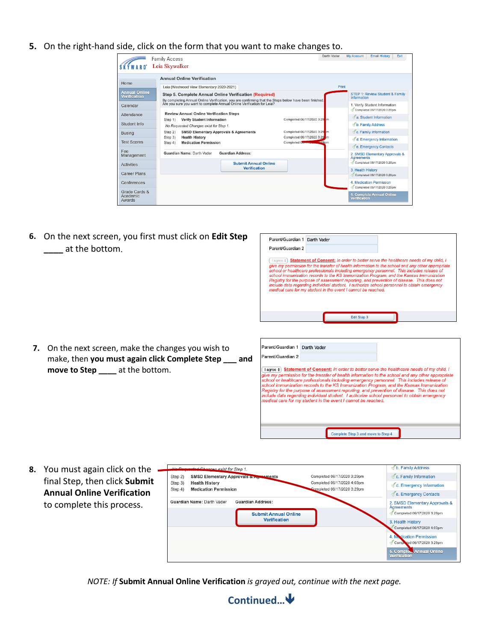**5.** On the right-hand side, click on the form that you want to make changes to.

|                                            | <b>Family Access</b>                                                                                                                                                            |                                                            | Darth Vader | <b>My Account</b> | <b>Email History</b>                                         | Exit |
|--------------------------------------------|---------------------------------------------------------------------------------------------------------------------------------------------------------------------------------|------------------------------------------------------------|-------------|-------------------|--------------------------------------------------------------|------|
|                                            | Leia Skywalker                                                                                                                                                                  |                                                            |             |                   |                                                              |      |
| Home                                       | <b>Annual Online Verification</b>                                                                                                                                               |                                                            |             |                   |                                                              |      |
|                                            | Leia (Westwood View Elementary 2020-2021)                                                                                                                                       |                                                            | Print       |                   |                                                              |      |
| <b>Annual Online</b><br>Verification       | Step 5. Complete Annual Online Verification (Required)                                                                                                                          |                                                            |             | Information       | STEP 1: Review Student & Family                              |      |
| Calendar                                   | By completing Annual Online Verification, you are confirming that the Steps below have been finished.<br>Are you sure you want to complete Annual Online Verification for Leia? |                                                            |             |                   | 1. Verify Student Information<br>Completed 06/17/2020 3:29pm |      |
| Attendance                                 | <b>Review Annual Online Verification Steps</b><br>Step 1)<br><b>Verify Student Information</b>                                                                                  | Completed 06/17/2020 3:29 m                                |             |                   | A. Student Information                                       |      |
| Student Info                               | No Requested Changes exist for Step 1.                                                                                                                                          |                                                            |             |                   | b. Family Address                                            |      |
| <b>Busing</b>                              | <b>SMSD Elementary Approvals &amp; Agreements</b><br>Step 2)                                                                                                                    | Completed 06/17/2020 3:29 m                                |             |                   | C. Family Information                                        |      |
| <b>Test Scores</b>                         | Step 3)<br><b>Health History</b><br><b>Medication Permission</b><br>Step 4)                                                                                                     | Completed 06/17/2020 3:29 m<br>Completed 000 million 200 m |             |                   | d. Emergency Information                                     |      |
|                                            |                                                                                                                                                                                 |                                                            |             |                   | Ce. Emergency Contacts                                       |      |
| Fee<br>Management                          | Guardian Name: Darth Vader<br><b>Guardian Address:</b>                                                                                                                          |                                                            |             | Agreements        | 2. SMSD Elementary Approvals &                               |      |
| <b>Activities</b>                          | <b>Submit Annual Online</b>                                                                                                                                                     |                                                            |             |                   | Completed 06/17/2020 3:29pm                                  |      |
| <b>Career Plans</b>                        | <b>Verification</b>                                                                                                                                                             |                                                            |             | 3. Health History | Completed 06/17/2020 3:29pm                                  |      |
| Conferences                                |                                                                                                                                                                                 |                                                            |             |                   | 4. Medication Permission<br>Completed 06/17/2020 3:29pm      |      |
| Grade Cards &<br>Academic<br><b>Awards</b> |                                                                                                                                                                                 |                                                            |             | Verification      | 5. Complete Annual Online                                    |      |

**6.** On the next screen, you first must click on **Edit Step \_\_\_\_** at the bottom.

**7.** On the next screen, make the changes you wish to

**move to Step \_\_\_\_** at the bottom.

| On the next screen, you first must click on <b>Edit Step</b><br>at the bottom.                           | Parent/Guardian 1 Darth Vader<br>Parent/Guardian 2<br>Statement of Consent: In order to better serve the healthcare needs of my child, I<br>l agree ¢]<br>give my permission for the transfer of health information to the school and any other appropriate<br>school or healthcare professionals including emergency personnel. This includes release of<br>school immunization records to the KS Immunization Program, and the Kansas Immunization<br>Registry for the purpose of assessment reporting, and prevention of disease. This does not<br>include data regarding individual student. I authorize school personnel to obtain emergency<br>medical care for my student in the event I cannot be reached. |
|----------------------------------------------------------------------------------------------------------|--------------------------------------------------------------------------------------------------------------------------------------------------------------------------------------------------------------------------------------------------------------------------------------------------------------------------------------------------------------------------------------------------------------------------------------------------------------------------------------------------------------------------------------------------------------------------------------------------------------------------------------------------------------------------------------------------------------------|
| On the next screen, make the changes you wish to<br>make, then you must again click Complete Step<br>and | Edit Step 3<br>Parent/Guardian 1 Darth Vader<br>Parent/Guardian 2                                                                                                                                                                                                                                                                                                                                                                                                                                                                                                                                                                                                                                                  |

lagree  $\div$  Statement of Consent: In order to better serve the healthcare needs of my child, I Tagree  $\overline{s}$ ) statements of conservation of the transfer of health information to the school and any other appropriate school or healthcare professionals including emergency personnel. This includes release of school im edical care for my student in the event I cannot be reached.

Complete Step 3 and move to Step 4

**8.** You must again click on the final Step, then click **Submit Annual Online Verification** to complete this process.

| No Penusated Changes exist for Step 1.<br>Step 2)                           | <b>SMSD Elementary Approvals of Agreements</b>          | Completed 06/17/2020 3:29pm                                | b. Family Address<br>C. Family Information                                         |
|-----------------------------------------------------------------------------|---------------------------------------------------------|------------------------------------------------------------|------------------------------------------------------------------------------------|
| Step 3)<br><b>Health History</b><br><b>Medication Permission</b><br>Step 4) |                                                         | Completed 06/17/2020 4:03pm<br>Completed 06/17/2020 3:29pm | d. Emergency Information                                                           |
|                                                                             |                                                         |                                                            | <i><b>Je. Emergency Contacts</b></i>                                               |
| Guardian Name: Darth Vader                                                  | <b>Guardian Address:</b><br><b>Submit Annual Online</b> |                                                            | 2. SMSD Elementary Approvals &<br><b>Agreements</b><br>Completed 06/17/2020 3:29pm |
|                                                                             |                                                         |                                                            |                                                                                    |
|                                                                             | <b>Verification</b>                                     |                                                            | 3. Health History<br>Completed 06/17/2020 4:03pm                                   |
|                                                                             |                                                         |                                                            | 4. My dication Permission<br>Completed 06/17/2020 3:29pm                           |

*NOTE: If* **Submit Annual Online Verification** *is grayed out, continue with the next page.*